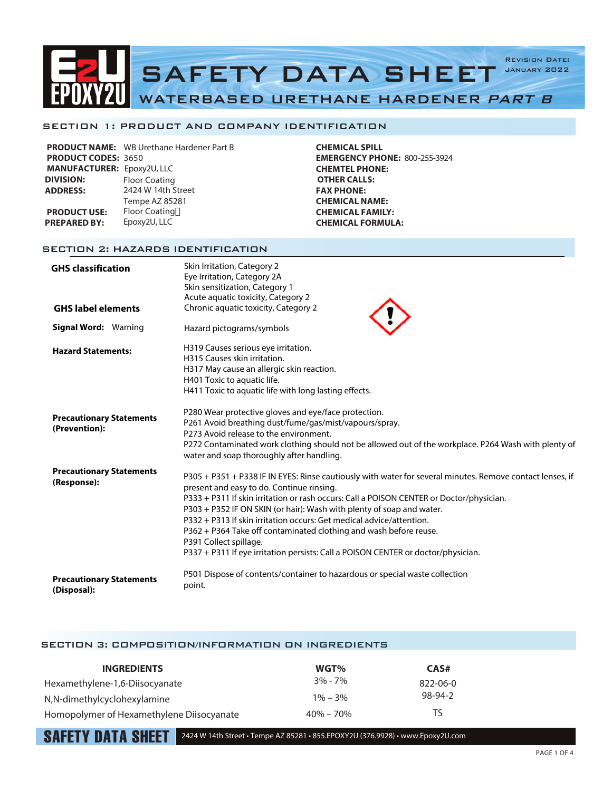

### SECTION 1: PRODUCT AND COMPANY IDENTIFICATION

|                                   | <b>PRODUCT NAME:</b> WB Urethane Hardener Part B |
|-----------------------------------|--------------------------------------------------|
| <b>PRODUCT CODES: 3650</b>        |                                                  |
| <b>MANUFACTURER: Epoxy2U, LLC</b> |                                                  |
| <b>DIVISION:</b>                  | <b>Floor Coating</b>                             |
| <b>ADDRESS:</b>                   | 2424 W 14th Street                               |
|                                   | Tempe AZ 85281                                   |
| <b>PRODUCT USE:</b>               | <b>Floor Coating</b>                             |
| <b>PREPARED BY:</b>               | Epoxy2U, LLC                                     |
|                                   |                                                  |

**CHEMICAL SPILL EMERGENCY PHONE:** 800-255-3924 **CHEMTEL PHONE: OTHER CALLS: FAX PHONE: CHEMICAL NAME: CHEMICAL FAMILY: CHEMICAL FORMULA:**

## SECTION 2: HAZARDS IDENTIFICATION

| <b>GHS classification</b>                        | Skin Irritation, Category 2<br>Eye Irritation, Category 2A<br>Skin sensitization, Category 1<br>Acute aquatic toxicity, Category 2                                                                                                                                                                                                                                                                                                                                                                                                                                                      |
|--------------------------------------------------|-----------------------------------------------------------------------------------------------------------------------------------------------------------------------------------------------------------------------------------------------------------------------------------------------------------------------------------------------------------------------------------------------------------------------------------------------------------------------------------------------------------------------------------------------------------------------------------------|
| <b>GHS label elements</b>                        | Chronic aquatic toxicity, Category 2                                                                                                                                                                                                                                                                                                                                                                                                                                                                                                                                                    |
| <b>Signal Word: Warning</b>                      | Hazard pictograms/symbols                                                                                                                                                                                                                                                                                                                                                                                                                                                                                                                                                               |
| <b>Hazard Statements:</b>                        | H319 Causes serious eye irritation.<br>H315 Causes skin irritation.<br>H317 May cause an allergic skin reaction.<br>H401 Toxic to aquatic life.<br>H411 Toxic to aquatic life with long lasting effects.                                                                                                                                                                                                                                                                                                                                                                                |
| <b>Precautionary Statements</b><br>(Prevention): | P280 Wear protective gloves and eye/face protection.<br>P261 Avoid breathing dust/fume/gas/mist/vapours/spray.<br>P273 Avoid release to the environment.<br>P272 Contaminated work clothing should not be allowed out of the workplace. P264 Wash with plenty of<br>water and soap thoroughly after handling.                                                                                                                                                                                                                                                                           |
| <b>Precautionary Statements</b><br>(Response):   | P305 + P351 + P338 IF IN EYES: Rinse cautiously with water for several minutes. Remove contact lenses, if<br>present and easy to do. Continue rinsing.<br>P333 + P311 If skin irritation or rash occurs: Call a POISON CENTER or Doctor/physician.<br>P303 + P352 IF ON SKIN (or hair): Wash with plenty of soap and water.<br>P332 + P313 If skin irritation occurs: Get medical advice/attention.<br>P362 + P364 Take off contaminated clothing and wash before reuse.<br>P391 Collect spillage.<br>P337 + P311 If eye irritation persists: Call a POISON CENTER or doctor/physician. |
| <b>Precautionary Statements</b><br>(Disposal):   | P501 Dispose of contents/container to hazardous or special waste collection<br>point.                                                                                                                                                                                                                                                                                                                                                                                                                                                                                                   |

### SECTION 3: COMPOSITION/INFORMATION ON INGREDIENTS

| <b>INGREDIENTS</b>                        | WGT%          | CAS#           |
|-------------------------------------------|---------------|----------------|
| Hexamethylene-1,6-Diisocyanate            | $3\% - 7\%$   | $822 - 06 - 0$ |
| N,N-dimethylcyclohexylamine               | $1\% - 3\%$   | 98-94-2        |
| Homopolymer of Hexamethylene Diisocyanate | $40\% - 70\%$ | TS             |

 $\textbf{SAFFTY}$  DATA  $\textbf{SHEIT}$  2424 W 14th Street • Tempe AZ 85281 • 855.EPOXY2U (376.9928) • www.Epoxy2U.com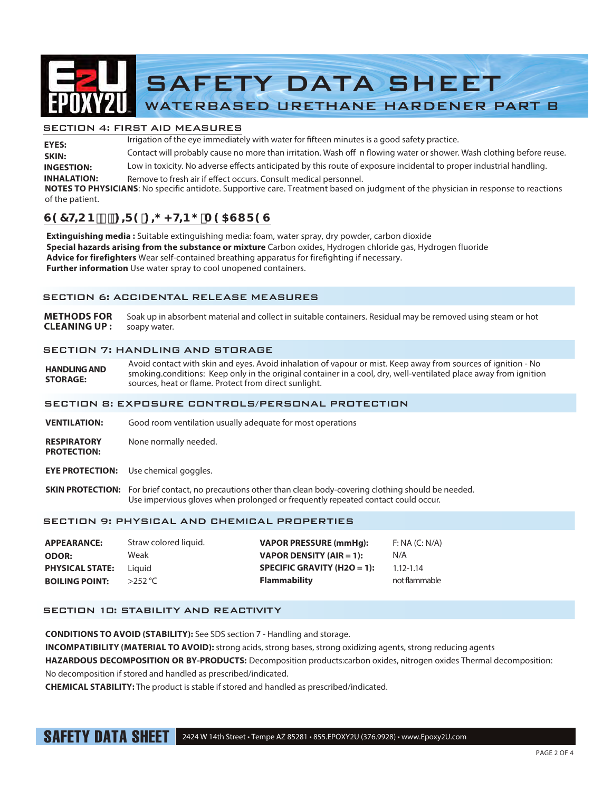

### SECTION 4: FIRST AID MEASURES

Irrigation of the eye immediately with water for fifteen minutes is a good safety practice. Contact will probably cause no more than irritation. Wash off n flowing water or shower. Wash clothing before reuse. Low in toxicity. No adverse effects anticipated by this route of exposure incidental to proper industrial handling. **INHALATION:** Remove to fresh air if effect occurs. Consult medical personnel. **INGESTION: SKIN: EYES: NOTES TO PHYSICIANS**: No specific antidote. Supportive care. Treatment based on judgment of the physician in response to reactions

#### of the patient.

# $G97HCB$ ):  $f = 9!$ ;  $\neq$  < HB; A 95GI F 9G

**Extinguishing media :** Suitable extinguishing media: foam, water spray, dry powder, carbon dioxide **Special hazards arising from the substance or mixture** Carbon oxides, Hydrogen chloride gas, Hydrogen fluoride **Advice for firefighters** Wear self-contained breathing apparatus for firefighting if necessary. **Further information** Use water spray to cool unopened containers.

### SECTION 6: ACCIDENTAL RELEASE MEASURES

**METHODS FOR** Soak up in absorbent material and collect in suitable containers. Residual may be removed using steam or hot **CLEANING UP :** soapy water.

### SECTION 7: HANDLING AND STORAGE

**HANDLING AND STORAGE:**  Avoid contact with skin and eyes. Avoid inhalation of vapour or mist. Keep away from sources of ignition - No smoking.conditions: Keep only in the original container in a cool, dry, well-ventilated place away from ignition sources, heat or flame. Protect from direct sunlight.

### SECTION 8: EXPOSURE CONTROLS/PERSONAL PROTECTION

- **VENTILATION:** Good room ventilation usually adequate for most operations
- **RESPIRATORY** None normally needed. **PROTECTION:**
- **EYE PROTECTION:** Use chemical goggles.
- **SKIN PROTECTION:** For brief contact, no precautions other than clean body-covering clothing should be needed. Use impervious gloves when prolonged or frequently repeated contact could occur.

### SECTION 9: PHYSICAL AND CHEMICAL PROPERTIES

| <b>APPEARANCE:</b>     | Straw colored liquid. | <b>VAPOR PRESSURE (mmHq):</b>   | F: NA (C: N/A) |
|------------------------|-----------------------|---------------------------------|----------------|
| <b>ODOR:</b>           | Weak                  | <b>VAPOR DENSITY (AIR = 1):</b> | N/A            |
| <b>PHYSICAL STATE:</b> | Liauid                | SPECIFIC GRAVITY (H2O = 1):     | $1.12 - 1.14$  |
| <b>BOILING POINT:</b>  | $>$ 252 °C            | <b>Flammability</b>             | not flammable  |

# SECTION 10: STABILITY AND REACTIVITY

**CONDITIONS TO AVOID (STABILITY):** See SDS section 7 - Handling and storage.

**INCOMPATIBILITY (MATERIAL TO AVOID):** strong acids, strong bases, strong oxidizing agents, strong reducing agents

**HAZARDOUS DECOMPOSITION OR BY-PRODUCTS:** Decomposition products:carbon oxides, nitrogen oxides Thermal decomposition: No decomposition if stored and handled as prescribed/indicated.

**CHEMICAL STABILITY:** The product is stable if stored and handled as prescribed/indicated.

SAFETY DATA SHEET 2424 W 14th Street • Tempe AZ 85281 • 855.EPOXY2U (376.9928) • www.Epoxy2U.com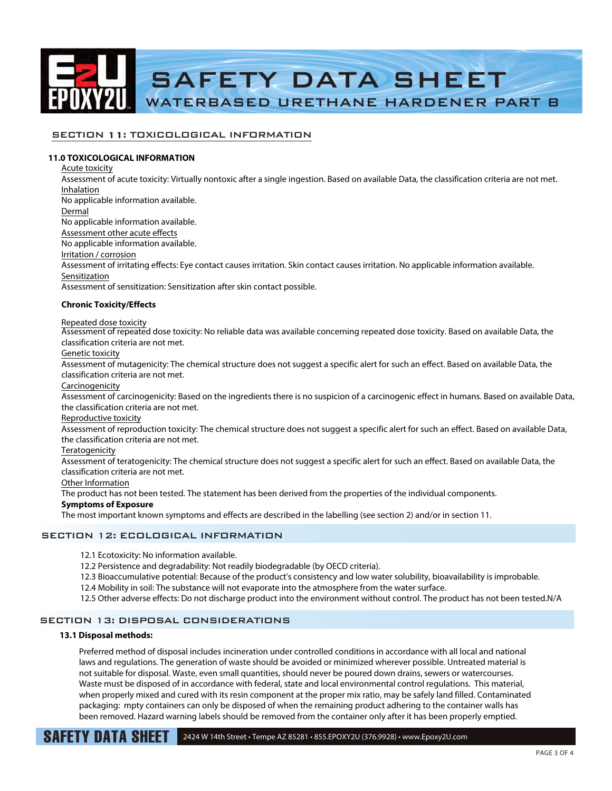

# SECTION 11: TOXICOLOGICAL INFORMATION

### **11.0 TOXICOLOGICAL INFORMATION**

SECTION 12: ECOLOGICAL INFORMATION Acute toxicity Assessment of acute toxicity: Virtually nontoxic after a single ingestion. Based on available Data, the classification criteria are not met. Inhalation No applicable information available. Dermal No applicable information available. Assessment other acute effects No applicable information available. Irritation / corrosion Assessment of irritating effects: Eye contact causes irritation. Skin contact causes irritation. No applicable information available. Sensitization Assessment of sensitization: Sensitization after skin contact possible. **Chronic Toxicity/Effects** Repeated dose toxicity Assessment of repeated dose toxicity: No reliable data was available concerning repeated dose toxicity. Based on available Data, the classification criteria are not met. Genetic toxicity Assessment of mutagenicity: The chemical structure does not suggest a specific alert for such an effect. Based on available Data, the classification criteria are not met. Carcinogenicity Assessment of carcinogenicity: Based on the ingredients there is no suspicion of a carcinogenic effect in humans. Based on available Data, the classification criteria are not met. Reproductive toxicity Assessment of reproduction toxicity: The chemical structure does not suggest a specific alert for such an effect. Based on available Data, the classification criteria are not met. **Teratogenicity** Assessment of teratogenicity: The chemical structure does not suggest a specific alert for such an effect. Based on available Data, the classification criteria are not met. Other Information The product has not been tested. The statement has been derived from the properties of the individual components. **Symptoms of Exposure** The most important known symptoms and effects are described in the labelling (see section 2) and/or in section 11.

12.1 Ecotoxicity: No information available.

12.2 Persistence and degradability: Not readily biodegradable (by OECD criteria).

- 12.3 Bioaccumulative potential: Because of the product's consistency and low water solubility, bioavailability is improbable.
- 12.4 Mobility in soil: The substance will not evaporate into the atmosphere from the water surface.
- 12.5 Other adverse effects: Do not discharge product into the environment without control. The product has not been tested.N/A

# SECTION 13: DISPOSAL CONSIDERATIONS

#### **13.1 Disposal methods:**

Preferred method of disposal includes incineration under controlled conditions in accordance with all local and national laws and regulations. The generation of waste should be avoided or minimized wherever possible. Untreated material is not suitable for disposal. Waste, even small quantities, should never be poured down drains, sewers or watercourses. Waste must be disposed of in accordance with federal, state and local environmental control regulations. This material, when properly mixed and cured with its resin component at the proper mix ratio, may be safely land filled. Contaminated packaging: mpty containers can only be disposed of when the remaining product adhering to the container walls has been removed. Hazard warning labels should be removed from the container only after it has been properly emptied.

**SAFETY DATA SHEET** 2424 W 14th Street • Tempe AZ 85281 • 855.EPOXY2U (376.9928) • www.Epoxy2U.com